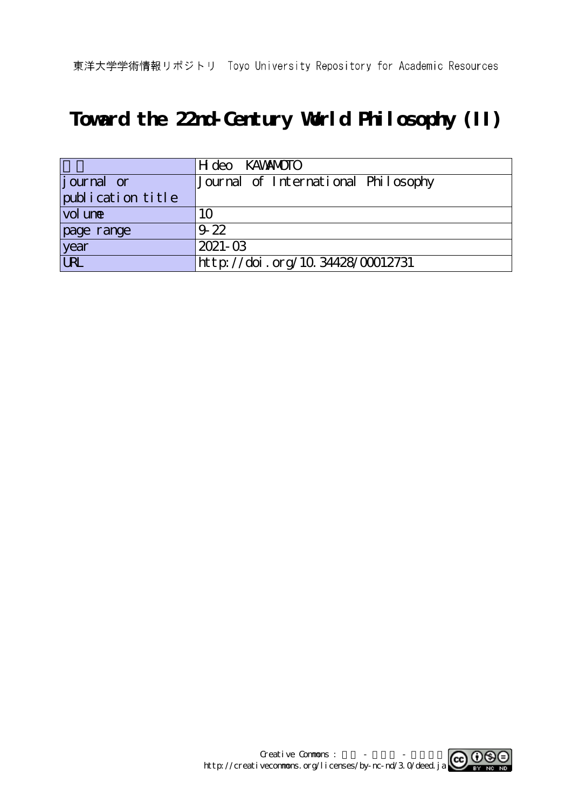# **Toward the 22nd-Century World Philosophy (II)**

|                            | H deo KAWANOTO                      |
|----------------------------|-------------------------------------|
| journal or                 | Journal of International Philosophy |
| publication title          |                                     |
| $\vert$ vol un $\mathbf e$ | 10                                  |
| page range                 | $9-22$                              |
| year                       | $2021 - 03$                         |
| <b>LRL</b>                 | http://doi.org/10.34428/00012731    |

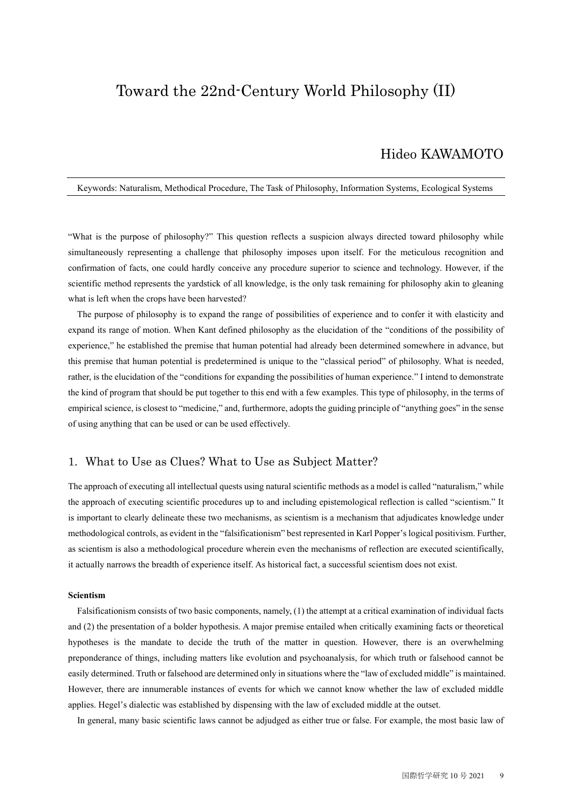# Toward the 22nd-Century World Philosophy (II)

# Hideo KAWAMOTO

#### Keywords: Naturalism, Methodical Procedure, The Task of Philosophy, Information Systems, Ecological Systems

"What is the purpose of philosophy?" This question reflects a suspicion always directed toward philosophy while simultaneously representing a challenge that philosophy imposes upon itself. For the meticulous recognition and confirmation of facts, one could hardly conceive any procedure superior to science and technology. However, if the scientific method represents the yardstick of all knowledge, is the only task remaining for philosophy akin to gleaning what is left when the crops have been harvested?

The purpose of philosophy is to expand the range of possibilities of experience and to confer it with elasticity and expand its range of motion. When Kant defined philosophy as the elucidation of the "conditions of the possibility of experience," he established the premise that human potential had already been determined somewhere in advance, but this premise that human potential is predetermined is unique to the "classical period" of philosophy. What is needed, rather, is the elucidation of the "conditions for expanding the possibilities of human experience." I intend to demonstrate the kind of program that should be put together to this end with a few examples. This type of philosophy, in the terms of empirical science, is closest to "medicine," and, furthermore, adopts the guiding principle of "anything goes" in the sense of using anything that can be used or can be used effectively.

## 1. What to Use as Clues? What to Use as Subject Matter?

The approach of executing all intellectual quests using natural scientific methods as a model is called "naturalism," while the approach of executing scientific procedures up to and including epistemological reflection is called "scientism." It is important to clearly delineate these two mechanisms, as scientism is a mechanism that adjudicates knowledge under methodological controls, as evident in the "falsificationism" best represented in Karl Popper's logical positivism. Further, as scientism is also a methodological procedure wherein even the mechanisms of reflection are executed scientifically, it actually narrows the breadth of experience itself. As historical fact, a successful scientism does not exist.

#### **Scientism**

Falsificationism consists of two basic components, namely, (1) the attempt at a critical examination of individual facts and (2) the presentation of a bolder hypothesis. A major premise entailed when critically examining facts or theoretical hypotheses is the mandate to decide the truth of the matter in question. However, there is an overwhelming preponderance of things, including matters like evolution and psychoanalysis, for which truth or falsehood cannot be easily determined. Truth or falsehood are determined only in situations where the "law of excluded middle" is maintained. However, there are innumerable instances of events for which we cannot know whether the law of excluded middle applies. Hegel's dialectic was established by dispensing with the law of excluded middle at the outset.

In general, many basic scientific laws cannot be adjudged as either true or false. For example, the most basic law of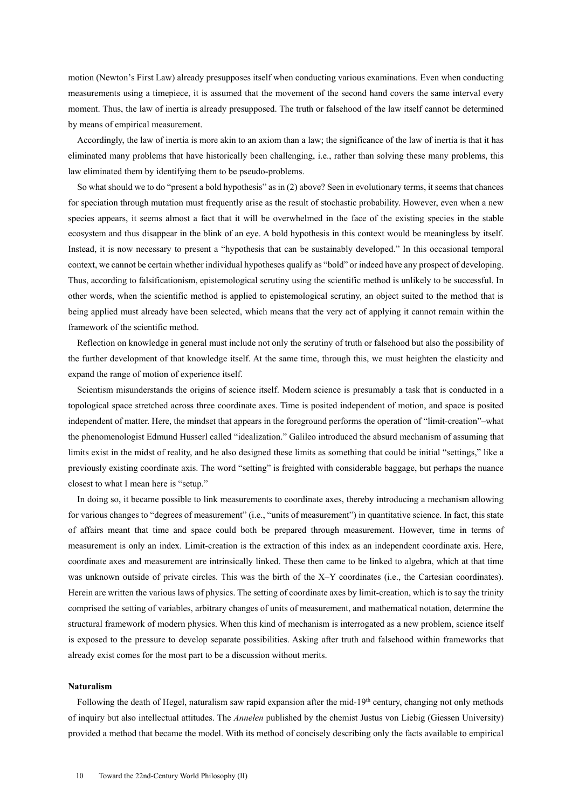motion (Newton's First Law) already presupposes itself when conducting various examinations. Even when conducting measurements using a timepiece, it is assumed that the movement of the second hand covers the same interval every moment. Thus, the law of inertia is already presupposed. The truth or falsehood of the law itself cannot be determined by means of empirical measurement.

Accordingly, the law of inertia is more akin to an axiom than a law; the significance of the law of inertia is that it has eliminated many problems that have historically been challenging, i.e., rather than solving these many problems, this law eliminated them by identifying them to be pseudo-problems.

So what should we to do "present a bold hypothesis" as in (2) above? Seen in evolutionary terms, it seems that chances for speciation through mutation must frequently arise as the result of stochastic probability. However, even when a new species appears, it seems almost a fact that it will be overwhelmed in the face of the existing species in the stable ecosystem and thus disappear in the blink of an eye. A bold hypothesis in this context would be meaningless by itself. Instead, it is now necessary to present a "hypothesis that can be sustainably developed." In this occasional temporal context, we cannot be certain whether individual hypotheses qualify as "bold" or indeed have any prospect of developing. Thus, according to falsificationism, epistemological scrutiny using the scientific method is unlikely to be successful. In other words, when the scientific method is applied to epistemological scrutiny, an object suited to the method that is being applied must already have been selected, which means that the very act of applying it cannot remain within the framework of the scientific method.

Reflection on knowledge in general must include not only the scrutiny of truth or falsehood but also the possibility of the further development of that knowledge itself. At the same time, through this, we must heighten the elasticity and expand the range of motion of experience itself.

Scientism misunderstands the origins of science itself. Modern science is presumably a task that is conducted in a topological space stretched across three coordinate axes. Time is posited independent of motion, and space is posited independent of matter. Here, the mindset that appears in the foreground performs the operation of "limit-creation"–what the phenomenologist Edmund Husserl called "idealization." Galileo introduced the absurd mechanism of assuming that limits exist in the midst of reality, and he also designed these limits as something that could be initial "settings," like a previously existing coordinate axis. The word "setting" is freighted with considerable baggage, but perhaps the nuance closest to what I mean here is "setup."

In doing so, it became possible to link measurements to coordinate axes, thereby introducing a mechanism allowing for various changes to "degrees of measurement" (i.e., "units of measurement") in quantitative science. In fact, this state of affairs meant that time and space could both be prepared through measurement. However, time in terms of measurement is only an index. Limit-creation is the extraction of this index as an independent coordinate axis. Here, coordinate axes and measurement are intrinsically linked. These then came to be linked to algebra, which at that time was unknown outside of private circles. This was the birth of the X–Y coordinates (i.e., the Cartesian coordinates). Herein are written the various laws of physics. The setting of coordinate axes by limit-creation, which is to say the trinity comprised the setting of variables, arbitrary changes of units of measurement, and mathematical notation, determine the structural framework of modern physics. When this kind of mechanism is interrogated as a new problem, science itself is exposed to the pressure to develop separate possibilities. Asking after truth and falsehood within frameworks that already exist comes for the most part to be a discussion without merits.

#### **Naturalism**

Following the death of Hegel, naturalism saw rapid expansion after the mid-19<sup>th</sup> century, changing not only methods of inquiry but also intellectual attitudes. The *Annelen* published by the chemist Justus von Liebig (Giessen University) provided a method that became the model. With its method of concisely describing only the facts available to empirical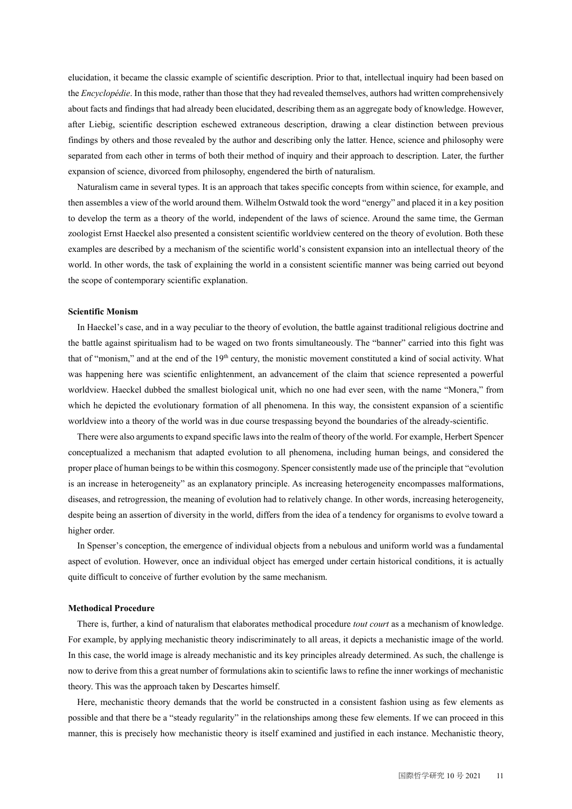elucidation, it became the classic example of scientific description. Prior to that, intellectual inquiry had been based on the *Encyclopédie*. In this mode, rather than those that they had revealed themselves, authors had written comprehensively about facts and findings that had already been elucidated, describing them as an aggregate body of knowledge. However, after Liebig, scientific description eschewed extraneous description, drawing a clear distinction between previous findings by others and those revealed by the author and describing only the latter. Hence, science and philosophy were separated from each other in terms of both their method of inquiry and their approach to description. Later, the further expansion of science, divorced from philosophy, engendered the birth of naturalism.

Naturalism came in several types. It is an approach that takes specific concepts from within science, for example, and then assembles a view of the world around them. Wilhelm Ostwald took the word "energy" and placed it in a key position to develop the term as a theory of the world, independent of the laws of science. Around the same time, the German zoologist Ernst Haeckel also presented a consistent scientific worldview centered on the theory of evolution. Both these examples are described by a mechanism of the scientific world's consistent expansion into an intellectual theory of the world. In other words, the task of explaining the world in a consistent scientific manner was being carried out beyond the scope of contemporary scientific explanation.

#### **Scientific Monism**

In Haeckel's case, and in a way peculiar to the theory of evolution, the battle against traditional religious doctrine and the battle against spiritualism had to be waged on two fronts simultaneously. The "banner" carried into this fight was that of "monism," and at the end of the 19<sup>th</sup> century, the monistic movement constituted a kind of social activity. What was happening here was scientific enlightenment, an advancement of the claim that science represented a powerful worldview. Haeckel dubbed the smallest biological unit, which no one had ever seen, with the name "Monera," from which he depicted the evolutionary formation of all phenomena. In this way, the consistent expansion of a scientific worldview into a theory of the world was in due course trespassing beyond the boundaries of the already-scientific.

There were also arguments to expand specific laws into the realm of theory of the world. For example, Herbert Spencer conceptualized a mechanism that adapted evolution to all phenomena, including human beings, and considered the proper place of human beings to be within this cosmogony. Spencer consistently made use of the principle that "evolution is an increase in heterogeneity" as an explanatory principle. As increasing heterogeneity encompasses malformations, diseases, and retrogression, the meaning of evolution had to relatively change. In other words, increasing heterogeneity, despite being an assertion of diversity in the world, differs from the idea of a tendency for organisms to evolve toward a higher order.

In Spenser's conception, the emergence of individual objects from a nebulous and uniform world was a fundamental aspect of evolution. However, once an individual object has emerged under certain historical conditions, it is actually quite difficult to conceive of further evolution by the same mechanism.

#### **Methodical Procedure**

There is, further, a kind of naturalism that elaborates methodical procedure *tout court* as a mechanism of knowledge. For example, by applying mechanistic theory indiscriminately to all areas, it depicts a mechanistic image of the world. In this case, the world image is already mechanistic and its key principles already determined. As such, the challenge is now to derive from this a great number of formulations akin to scientific laws to refine the inner workings of mechanistic theory. This was the approach taken by Descartes himself.

Here, mechanistic theory demands that the world be constructed in a consistent fashion using as few elements as possible and that there be a "steady regularity" in the relationships among these few elements. If we can proceed in this manner, this is precisely how mechanistic theory is itself examined and justified in each instance. Mechanistic theory,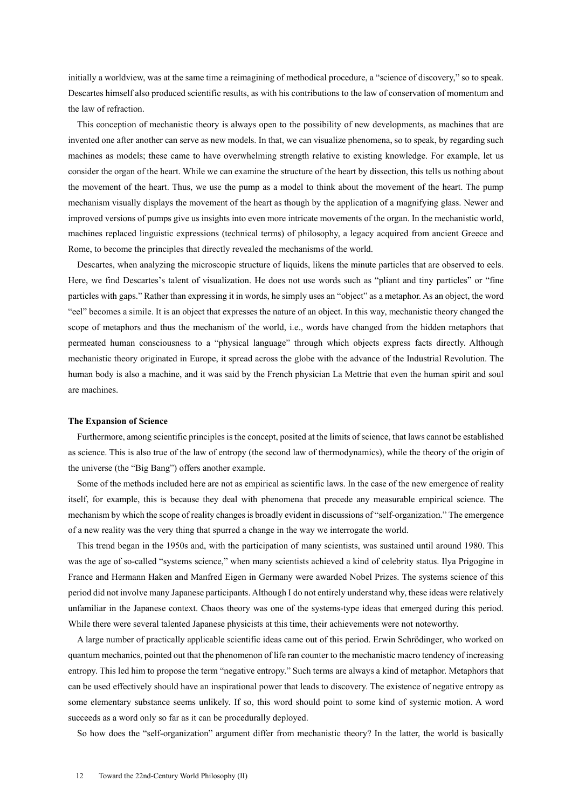initially a worldview, was at the same time a reimagining of methodical procedure, a "science of discovery," so to speak. Descartes himself also produced scientific results, as with his contributions to the law of conservation of momentum and the law of refraction.

This conception of mechanistic theory is always open to the possibility of new developments, as machines that are invented one after another can serve as new models. In that, we can visualize phenomena, so to speak, by regarding such machines as models; these came to have overwhelming strength relative to existing knowledge. For example, let us consider the organ of the heart. While we can examine the structure of the heart by dissection, this tells us nothing about the movement of the heart. Thus, we use the pump as a model to think about the movement of the heart. The pump mechanism visually displays the movement of the heart as though by the application of a magnifying glass. Newer and improved versions of pumps give us insights into even more intricate movements of the organ. In the mechanistic world, machines replaced linguistic expressions (technical terms) of philosophy, a legacy acquired from ancient Greece and Rome, to become the principles that directly revealed the mechanisms of the world.

Descartes, when analyzing the microscopic structure of liquids, likens the minute particles that are observed to eels. Here, we find Descartes's talent of visualization. He does not use words such as "pliant and tiny particles" or "fine particles with gaps." Rather than expressing it in words, he simply uses an "object" as a metaphor. As an object, the word "eel" becomes a simile. It is an object that expresses the nature of an object. In this way, mechanistic theory changed the scope of metaphors and thus the mechanism of the world, i.e., words have changed from the hidden metaphors that permeated human consciousness to a "physical language" through which objects express facts directly. Although mechanistic theory originated in Europe, it spread across the globe with the advance of the Industrial Revolution. The human body is also a machine, and it was said by the French physician La Mettrie that even the human spirit and soul are machines.

#### **The Expansion of Science**

Furthermore, among scientific principles is the concept, posited at the limits of science, that laws cannot be established as science. This is also true of the law of entropy (the second law of thermodynamics), while the theory of the origin of the universe (the "Big Bang") offers another example.

Some of the methods included here are not as empirical as scientific laws. In the case of the new emergence of reality itself, for example, this is because they deal with phenomena that precede any measurable empirical science. The mechanism by which the scope of reality changes is broadly evident in discussions of "self-organization." The emergence of a new reality was the very thing that spurred a change in the way we interrogate the world.

This trend began in the 1950s and, with the participation of many scientists, was sustained until around 1980. This was the age of so-called "systems science," when many scientists achieved a kind of celebrity status. Ilya Prigogine in France and Hermann Haken and Manfred Eigen in Germany were awarded Nobel Prizes. The systems science of this period did not involve many Japanese participants. Although I do not entirely understand why, these ideas were relatively unfamiliar in the Japanese context. Chaos theory was one of the systems-type ideas that emerged during this period. While there were several talented Japanese physicists at this time, their achievements were not noteworthy.

A large number of practically applicable scientific ideas came out of this period. Erwin Schrödinger, who worked on quantum mechanics, pointed out that the phenomenon of life ran counter to the mechanistic macro tendency of increasing entropy. This led him to propose the term "negative entropy." Such terms are always a kind of metaphor. Metaphors that can be used effectively should have an inspirational power that leads to discovery. The existence of negative entropy as some elementary substance seems unlikely. If so, this word should point to some kind of systemic motion. A word succeeds as a word only so far as it can be procedurally deployed.

So how does the "self-organization" argument differ from mechanistic theory? In the latter, the world is basically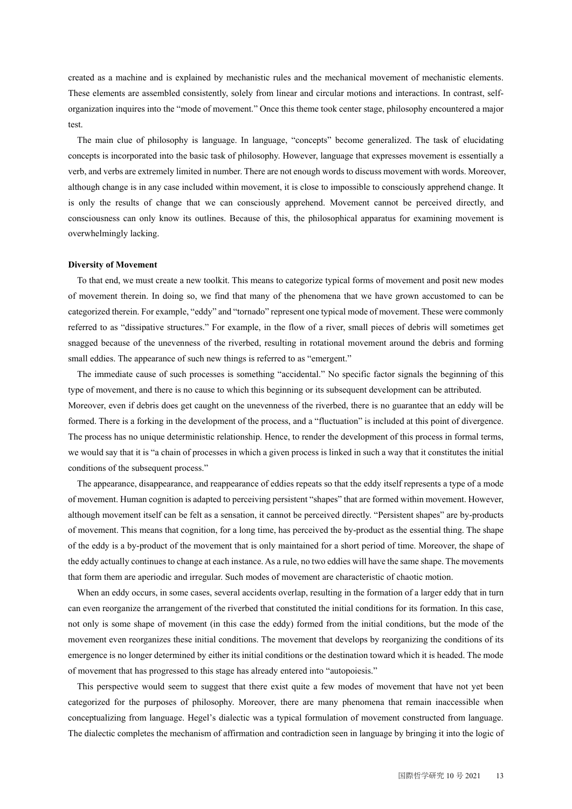created as a machine and is explained by mechanistic rules and the mechanical movement of mechanistic elements. These elements are assembled consistently, solely from linear and circular motions and interactions. In contrast, selforganization inquires into the "mode of movement." Once this theme took center stage, philosophy encountered a major test.

The main clue of philosophy is language. In language, "concepts" become generalized. The task of elucidating concepts is incorporated into the basic task of philosophy. However, language that expresses movement is essentially a verb, and verbs are extremely limited in number. There are not enough words to discuss movement with words. Moreover, although change is in any case included within movement, it is close to impossible to consciously apprehend change. It is only the results of change that we can consciously apprehend. Movement cannot be perceived directly, and consciousness can only know its outlines. Because of this, the philosophical apparatus for examining movement is overwhelmingly lacking.

#### **Diversity of Movement**

To that end, we must create a new toolkit. This means to categorize typical forms of movement and posit new modes of movement therein. In doing so, we find that many of the phenomena that we have grown accustomed to can be categorized therein. For example, "eddy" and "tornado" represent one typical mode of movement. These were commonly referred to as "dissipative structures." For example, in the flow of a river, small pieces of debris will sometimes get snagged because of the unevenness of the riverbed, resulting in rotational movement around the debris and forming small eddies. The appearance of such new things is referred to as "emergent."

The immediate cause of such processes is something "accidental." No specific factor signals the beginning of this type of movement, and there is no cause to which this beginning or its subsequent development can be attributed. Moreover, even if debris does get caught on the unevenness of the riverbed, there is no guarantee that an eddy will be formed. There is a forking in the development of the process, and a "fluctuation" is included at this point of divergence. The process has no unique deterministic relationship. Hence, to render the development of this process in formal terms, we would say that it is "a chain of processes in which a given process is linked in such a way that it constitutes the initial conditions of the subsequent process."

The appearance, disappearance, and reappearance of eddies repeats so that the eddy itself represents a type of a mode of movement. Human cognition is adapted to perceiving persistent "shapes" that are formed within movement. However, although movement itself can be felt as a sensation, it cannot be perceived directly. "Persistent shapes" are by-products of movement. This means that cognition, for a long time, has perceived the by-product as the essential thing. The shape of the eddy is a by-product of the movement that is only maintained for a short period of time. Moreover, the shape of the eddy actually continues to change at each instance. As a rule, no two eddies will have the same shape. The movements that form them are aperiodic and irregular. Such modes of movement are characteristic of chaotic motion.

When an eddy occurs, in some cases, several accidents overlap, resulting in the formation of a larger eddy that in turn can even reorganize the arrangement of the riverbed that constituted the initial conditions for its formation. In this case, not only is some shape of movement (in this case the eddy) formed from the initial conditions, but the mode of the movement even reorganizes these initial conditions. The movement that develops by reorganizing the conditions of its emergence is no longer determined by either its initial conditions or the destination toward which it is headed. The mode of movement that has progressed to this stage has already entered into "autopoiesis."

This perspective would seem to suggest that there exist quite a few modes of movement that have not yet been categorized for the purposes of philosophy. Moreover, there are many phenomena that remain inaccessible when conceptualizing from language. Hegel's dialectic was a typical formulation of movement constructed from language. The dialectic completes the mechanism of affirmation and contradiction seen in language by bringing it into the logic of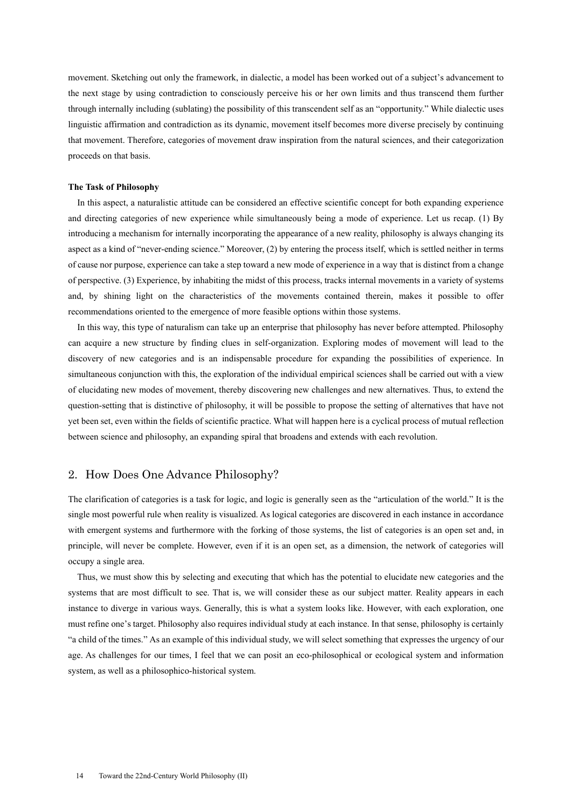movement. Sketching out only the framework, in dialectic, a model has been worked out of a subject's advancement to the next stage by using contradiction to consciously perceive his or her own limits and thus transcend them further through internally including (sublating) the possibility of this transcendent self as an "opportunity." While dialectic uses linguistic affirmation and contradiction as its dynamic, movement itself becomes more diverse precisely by continuing that movement. Therefore, categories of movement draw inspiration from the natural sciences, and their categorization proceeds on that basis.

#### **The Task of Philosophy**

In this aspect, a naturalistic attitude can be considered an effective scientific concept for both expanding experience and directing categories of new experience while simultaneously being a mode of experience. Let us recap. (1) By introducing a mechanism for internally incorporating the appearance of a new reality, philosophy is always changing its aspect as a kind of "never-ending science." Moreover, (2) by entering the process itself, which is settled neither in terms of cause nor purpose, experience can take a step toward a new mode of experience in a way that is distinct from a change of perspective. (3) Experience, by inhabiting the midst of this process, tracks internal movements in a variety of systems and, by shining light on the characteristics of the movements contained therein, makes it possible to offer recommendations oriented to the emergence of more feasible options within those systems.

In this way, this type of naturalism can take up an enterprise that philosophy has never before attempted. Philosophy can acquire a new structure by finding clues in self-organization. Exploring modes of movement will lead to the discovery of new categories and is an indispensable procedure for expanding the possibilities of experience. In simultaneous conjunction with this, the exploration of the individual empirical sciences shall be carried out with a view of elucidating new modes of movement, thereby discovering new challenges and new alternatives. Thus, to extend the question-setting that is distinctive of philosophy, it will be possible to propose the setting of alternatives that have not yet been set, even within the fields of scientific practice. What will happen here is a cyclical process of mutual reflection between science and philosophy, an expanding spiral that broadens and extends with each revolution.

### 2. How Does One Advance Philosophy?

The clarification of categories is a task for logic, and logic is generally seen as the "articulation of the world." It is the single most powerful rule when reality is visualized. As logical categories are discovered in each instance in accordance with emergent systems and furthermore with the forking of those systems, the list of categories is an open set and, in principle, will never be complete. However, even if it is an open set, as a dimension, the network of categories will occupy a single area.

Thus, we must show this by selecting and executing that which has the potential to elucidate new categories and the systems that are most difficult to see. That is, we will consider these as our subject matter. Reality appears in each instance to diverge in various ways. Generally, this is what a system looks like. However, with each exploration, one must refine one's target. Philosophy also requires individual study at each instance. In that sense, philosophy is certainly "a child of the times." As an example of this individual study, we will select something that expresses the urgency of our age. As challenges for our times, I feel that we can posit an eco-philosophical or ecological system and information system, as well as a philosophico-historical system.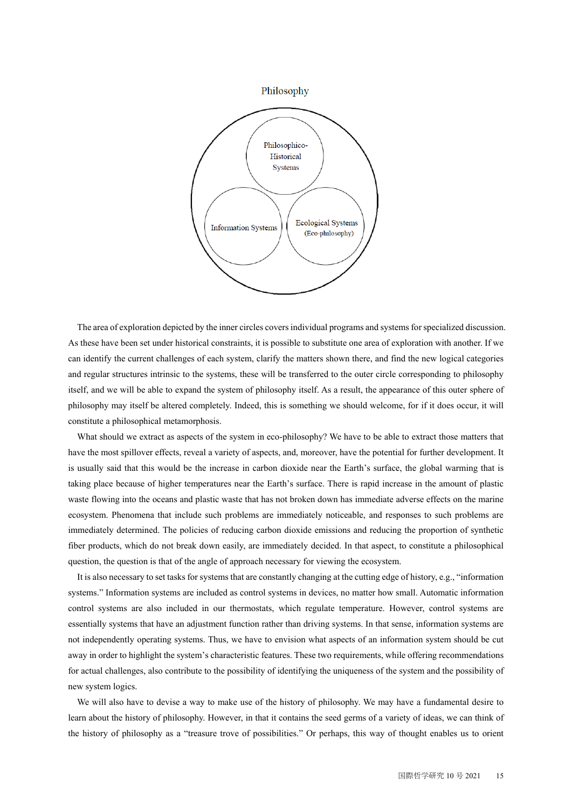

The area of exploration depicted by the inner circles coversindividual programs and systems for specialized discussion. As these have been set under historical constraints, it is possible to substitute one area of exploration with another. If we can identify the current challenges of each system, clarify the matters shown there, and find the new logical categories and regular structures intrinsic to the systems, these will be transferred to the outer circle corresponding to philosophy itself, and we will be able to expand the system of philosophy itself. As a result, the appearance of this outer sphere of philosophy may itself be altered completely. Indeed, this is something we should welcome, for if it does occur, it will constitute a philosophical metamorphosis.

What should we extract as aspects of the system in eco-philosophy? We have to be able to extract those matters that have the most spillover effects, reveal a variety of aspects, and, moreover, have the potential for further development. It is usually said that this would be the increase in carbon dioxide near the Earth's surface, the global warming that is taking place because of higher temperatures near the Earth's surface. There is rapid increase in the amount of plastic waste flowing into the oceans and plastic waste that has not broken down has immediate adverse effects on the marine ecosystem. Phenomena that include such problems are immediately noticeable, and responses to such problems are immediately determined. The policies of reducing carbon dioxide emissions and reducing the proportion of synthetic fiber products, which do not break down easily, are immediately decided. In that aspect, to constitute a philosophical question, the question is that of the angle of approach necessary for viewing the ecosystem.

It is also necessary to set tasks for systems that are constantly changing at the cutting edge of history, e.g., "information systems." Information systems are included as control systems in devices, no matter how small. Automatic information control systems are also included in our thermostats, which regulate temperature. However, control systems are essentially systems that have an adjustment function rather than driving systems. In that sense, information systems are not independently operating systems. Thus, we have to envision what aspects of an information system should be cut away in order to highlight the system's characteristic features. These two requirements, while offering recommendations for actual challenges, also contribute to the possibility of identifying the uniqueness of the system and the possibility of new system logics.

We will also have to devise a way to make use of the history of philosophy. We may have a fundamental desire to learn about the history of philosophy. However, in that it contains the seed germs of a variety of ideas, we can think of the history of philosophy as a "treasure trove of possibilities." Or perhaps, this way of thought enables us to orient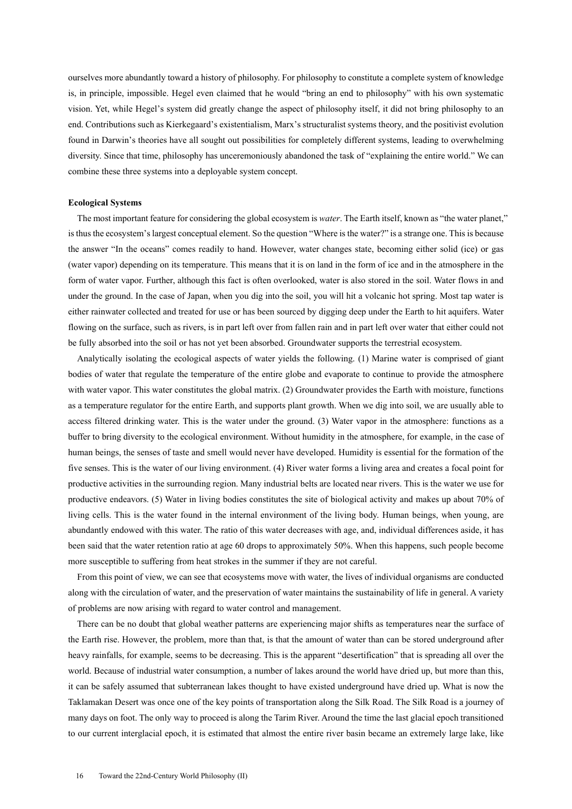ourselves more abundantly toward a history of philosophy. For philosophy to constitute a complete system of knowledge is, in principle, impossible. Hegel even claimed that he would "bring an end to philosophy" with his own systematic vision. Yet, while Hegel's system did greatly change the aspect of philosophy itself, it did not bring philosophy to an end. Contributions such as Kierkegaard's existentialism, Marx's structuralist systems theory, and the positivist evolution found in Darwin's theories have all sought out possibilities for completely different systems, leading to overwhelming diversity. Since that time, philosophy has unceremoniously abandoned the task of "explaining the entire world." We can combine these three systems into a deployable system concept.

#### **Ecological Systems**

The most important feature for considering the global ecosystem is *water*. The Earth itself, known as "the water planet," is thus the ecosystem's largest conceptual element. So the question "Where is the water?" is a strange one. This is because the answer "In the oceans" comes readily to hand. However, water changes state, becoming either solid (ice) or gas (water vapor) depending on its temperature. This means that it is on land in the form of ice and in the atmosphere in the form of water vapor. Further, although this fact is often overlooked, water is also stored in the soil. Water flows in and under the ground. In the case of Japan, when you dig into the soil, you will hit a volcanic hot spring. Most tap water is either rainwater collected and treated for use or has been sourced by digging deep under the Earth to hit aquifers. Water flowing on the surface, such as rivers, is in part left over from fallen rain and in part left over water that either could not be fully absorbed into the soil or has not yet been absorbed. Groundwater supports the terrestrial ecosystem.

Analytically isolating the ecological aspects of water yields the following. (1) Marine water is comprised of giant bodies of water that regulate the temperature of the entire globe and evaporate to continue to provide the atmosphere with water vapor. This water constitutes the global matrix. (2) Groundwater provides the Earth with moisture, functions as a temperature regulator for the entire Earth, and supports plant growth. When we dig into soil, we are usually able to access filtered drinking water. This is the water under the ground. (3) Water vapor in the atmosphere: functions as a buffer to bring diversity to the ecological environment. Without humidity in the atmosphere, for example, in the case of human beings, the senses of taste and smell would never have developed. Humidity is essential for the formation of the five senses. This is the water of our living environment. (4) River water forms a living area and creates a focal point for productive activities in the surrounding region. Many industrial belts are located near rivers. This is the water we use for productive endeavors. (5) Water in living bodies constitutes the site of biological activity and makes up about 70% of living cells. This is the water found in the internal environment of the living body. Human beings, when young, are abundantly endowed with this water. The ratio of this water decreases with age, and, individual differences aside, it has been said that the water retention ratio at age 60 drops to approximately 50%. When this happens, such people become more susceptible to suffering from heat strokes in the summer if they are not careful.

From this point of view, we can see that ecosystems move with water, the lives of individual organisms are conducted along with the circulation of water, and the preservation of water maintains the sustainability of life in general. A variety of problems are now arising with regard to water control and management.

There can be no doubt that global weather patterns are experiencing major shifts as temperatures near the surface of the Earth rise. However, the problem, more than that, is that the amount of water than can be stored underground after heavy rainfalls, for example, seems to be decreasing. This is the apparent "desertification" that is spreading all over the world. Because of industrial water consumption, a number of lakes around the world have dried up, but more than this, it can be safely assumed that subterranean lakes thought to have existed underground have dried up. What is now the Taklamakan Desert was once one of the key points of transportation along the Silk Road. The Silk Road is a journey of many days on foot. The only way to proceed is along the Tarim River. Around the time the last glacial epoch transitioned to our current interglacial epoch, it is estimated that almost the entire river basin became an extremely large lake, like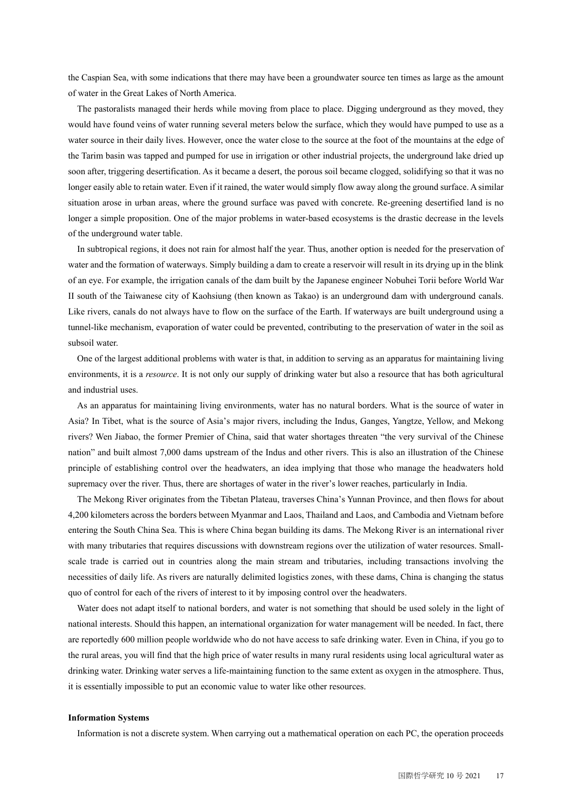the Caspian Sea, with some indications that there may have been a groundwater source ten times as large as the amount of water in the Great Lakes of North America.

The pastoralists managed their herds while moving from place to place. Digging underground as they moved, they would have found veins of water running several meters below the surface, which they would have pumped to use as a water source in their daily lives. However, once the water close to the source at the foot of the mountains at the edge of the Tarim basin was tapped and pumped for use in irrigation or other industrial projects, the underground lake dried up soon after, triggering desertification. As it became a desert, the porous soil became clogged, solidifying so that it was no longer easily able to retain water. Even if it rained, the water would simply flow away along the ground surface. A similar situation arose in urban areas, where the ground surface was paved with concrete. Re-greening desertified land is no longer a simple proposition. One of the major problems in water-based ecosystems is the drastic decrease in the levels of the underground water table.

In subtropical regions, it does not rain for almost half the year. Thus, another option is needed for the preservation of water and the formation of waterways. Simply building a dam to create a reservoir will result in its drying up in the blink of an eye. For example, the irrigation canals of the dam built by the Japanese engineer Nobuhei Torii before World War II south of the Taiwanese city of Kaohsiung (then known as Takao) is an underground dam with underground canals. Like rivers, canals do not always have to flow on the surface of the Earth. If waterways are built underground using a tunnel-like mechanism, evaporation of water could be prevented, contributing to the preservation of water in the soil as subsoil water.

One of the largest additional problems with water is that, in addition to serving as an apparatus for maintaining living environments, it is a *resource*. It is not only our supply of drinking water but also a resource that has both agricultural and industrial uses.

As an apparatus for maintaining living environments, water has no natural borders. What is the source of water in Asia? In Tibet, what is the source of Asia's major rivers, including the Indus, Ganges, Yangtze, Yellow, and Mekong rivers? Wen Jiabao, the former Premier of China, said that water shortages threaten "the very survival of the Chinese nation" and built almost 7,000 dams upstream of the Indus and other rivers. This is also an illustration of the Chinese principle of establishing control over the headwaters, an idea implying that those who manage the headwaters hold supremacy over the river. Thus, there are shortages of water in the river's lower reaches, particularly in India.

The Mekong River originates from the Tibetan Plateau, traverses China's Yunnan Province, and then flows for about 4,200 kilometers across the borders between Myanmar and Laos, Thailand and Laos, and Cambodia and Vietnam before entering the South China Sea. This is where China began building its dams. The Mekong River is an international river with many tributaries that requires discussions with downstream regions over the utilization of water resources. Smallscale trade is carried out in countries along the main stream and tributaries, including transactions involving the necessities of daily life. As rivers are naturally delimited logistics zones, with these dams, China is changing the status quo of control for each of the rivers of interest to it by imposing control over the headwaters.

Water does not adapt itself to national borders, and water is not something that should be used solely in the light of national interests. Should this happen, an international organization for water management will be needed. In fact, there are reportedly 600 million people worldwide who do not have access to safe drinking water. Even in China, if you go to the rural areas, you will find that the high price of water results in many rural residents using local agricultural water as drinking water. Drinking water serves a life-maintaining function to the same extent as oxygen in the atmosphere. Thus, it is essentially impossible to put an economic value to water like other resources.

#### **Information Systems**

Information is not a discrete system. When carrying out a mathematical operation on each PC, the operation proceeds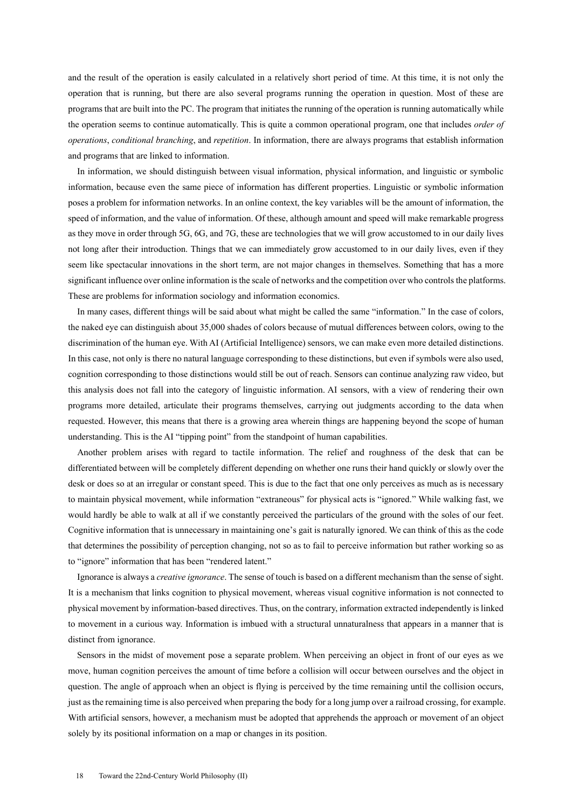and the result of the operation is easily calculated in a relatively short period of time. At this time, it is not only the operation that is running, but there are also several programs running the operation in question. Most of these are programs that are built into the PC. The program that initiates the running of the operation is running automatically while the operation seems to continue automatically. This is quite a common operational program, one that includes *order of operations*, *conditional branching*, and *repetition*. In information, there are always programs that establish information and programs that are linked to information.

In information, we should distinguish between visual information, physical information, and linguistic or symbolic information, because even the same piece of information has different properties. Linguistic or symbolic information poses a problem for information networks. In an online context, the key variables will be the amount of information, the speed of information, and the value of information. Of these, although amount and speed will make remarkable progress as they move in order through 5G, 6G, and 7G, these are technologies that we will grow accustomed to in our daily lives not long after their introduction. Things that we can immediately grow accustomed to in our daily lives, even if they seem like spectacular innovations in the short term, are not major changes in themselves. Something that has a more significant influence over online information is the scale of networks and the competition over who controls the platforms. These are problems for information sociology and information economics.

In many cases, different things will be said about what might be called the same "information." In the case of colors, the naked eye can distinguish about 35,000 shades of colors because of mutual differences between colors, owing to the discrimination of the human eye. With AI (Artificial Intelligence) sensors, we can make even more detailed distinctions. In this case, not only is there no natural language corresponding to these distinctions, but even if symbols were also used, cognition corresponding to those distinctions would still be out of reach. Sensors can continue analyzing raw video, but this analysis does not fall into the category of linguistic information. AI sensors, with a view of rendering their own programs more detailed, articulate their programs themselves, carrying out judgments according to the data when requested. However, this means that there is a growing area wherein things are happening beyond the scope of human understanding. This is the AI "tipping point" from the standpoint of human capabilities.

Another problem arises with regard to tactile information. The relief and roughness of the desk that can be differentiated between will be completely different depending on whether one runs their hand quickly or slowly over the desk or does so at an irregular or constant speed. This is due to the fact that one only perceives as much as is necessary to maintain physical movement, while information "extraneous" for physical acts is "ignored." While walking fast, we would hardly be able to walk at all if we constantly perceived the particulars of the ground with the soles of our feet. Cognitive information that is unnecessary in maintaining one's gait is naturally ignored. We can think of this as the code that determines the possibility of perception changing, not so as to fail to perceive information but rather working so as to "ignore" information that has been "rendered latent."

Ignorance is always a *creative ignorance*. The sense of touch is based on a different mechanism than the sense of sight. It is a mechanism that links cognition to physical movement, whereas visual cognitive information is not connected to physical movement by information-based directives. Thus, on the contrary, information extracted independently is linked to movement in a curious way. Information is imbued with a structural unnaturalness that appears in a manner that is distinct from ignorance.

Sensors in the midst of movement pose a separate problem. When perceiving an object in front of our eyes as we move, human cognition perceives the amount of time before a collision will occur between ourselves and the object in question. The angle of approach when an object is flying is perceived by the time remaining until the collision occurs, just as the remaining time is also perceived when preparing the body for a long jump over a railroad crossing, for example. With artificial sensors, however, a mechanism must be adopted that apprehends the approach or movement of an object solely by its positional information on a map or changes in its position.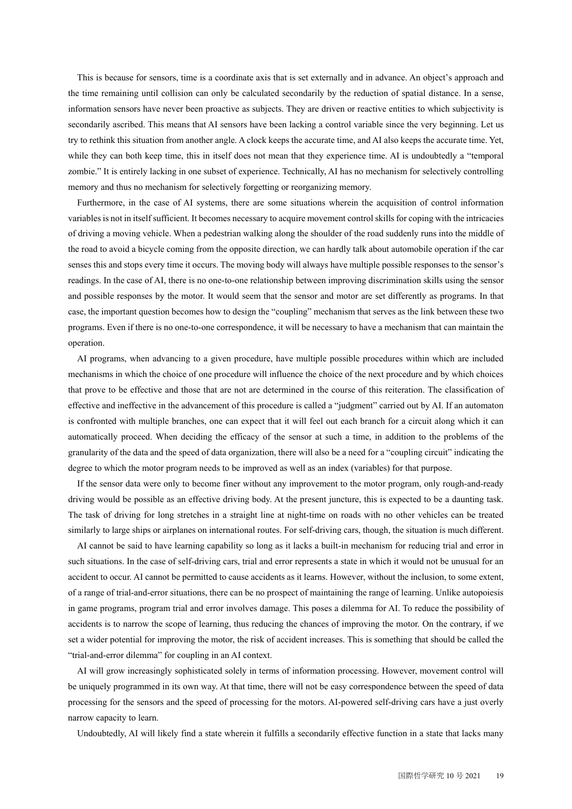This is because for sensors, time is a coordinate axis that is set externally and in advance. An object's approach and the time remaining until collision can only be calculated secondarily by the reduction of spatial distance. In a sense, information sensors have never been proactive as subjects. They are driven or reactive entities to which subjectivity is secondarily ascribed. This means that AI sensors have been lacking a control variable since the very beginning. Let us try to rethink this situation from another angle. A clock keeps the accurate time, and AI also keeps the accurate time. Yet, while they can both keep time, this in itself does not mean that they experience time. AI is undoubtedly a "temporal zombie." It is entirely lacking in one subset of experience. Technically, AI has no mechanism for selectively controlling memory and thus no mechanism for selectively forgetting or reorganizing memory.

Furthermore, in the case of AI systems, there are some situations wherein the acquisition of control information variables is not in itself sufficient. It becomes necessary to acquire movement control skills for coping with the intricacies of driving a moving vehicle. When a pedestrian walking along the shoulder of the road suddenly runs into the middle of the road to avoid a bicycle coming from the opposite direction, we can hardly talk about automobile operation if the car senses this and stops every time it occurs. The moving body will always have multiple possible responses to the sensor's readings. In the case of AI, there is no one-to-one relationship between improving discrimination skills using the sensor and possible responses by the motor. It would seem that the sensor and motor are set differently as programs. In that case, the important question becomes how to design the "coupling" mechanism that serves as the link between these two programs. Even if there is no one-to-one correspondence, it will be necessary to have a mechanism that can maintain the operation.

AI programs, when advancing to a given procedure, have multiple possible procedures within which are included mechanisms in which the choice of one procedure will influence the choice of the next procedure and by which choices that prove to be effective and those that are not are determined in the course of this reiteration. The classification of effective and ineffective in the advancement of this procedure is called a "judgment" carried out by AI. If an automaton is confronted with multiple branches, one can expect that it will feel out each branch for a circuit along which it can automatically proceed. When deciding the efficacy of the sensor at such a time, in addition to the problems of the granularity of the data and the speed of data organization, there will also be a need for a "coupling circuit" indicating the degree to which the motor program needs to be improved as well as an index (variables) for that purpose.

If the sensor data were only to become finer without any improvement to the motor program, only rough-and-ready driving would be possible as an effective driving body. At the present juncture, this is expected to be a daunting task. The task of driving for long stretches in a straight line at night-time on roads with no other vehicles can be treated similarly to large ships or airplanes on international routes. For self-driving cars, though, the situation is much different.

AI cannot be said to have learning capability so long as it lacks a built-in mechanism for reducing trial and error in such situations. In the case of self-driving cars, trial and error represents a state in which it would not be unusual for an accident to occur. AI cannot be permitted to cause accidents as it learns. However, without the inclusion, to some extent, of a range of trial-and-error situations, there can be no prospect of maintaining the range of learning. Unlike autopoiesis in game programs, program trial and error involves damage. This poses a dilemma for AI. To reduce the possibility of accidents is to narrow the scope of learning, thus reducing the chances of improving the motor. On the contrary, if we set a wider potential for improving the motor, the risk of accident increases. This is something that should be called the "trial-and-error dilemma" for coupling in an AI context.

AI will grow increasingly sophisticated solely in terms of information processing. However, movement control will be uniquely programmed in its own way. At that time, there will not be easy correspondence between the speed of data processing for the sensors and the speed of processing for the motors. AI-powered self-driving cars have a just overly narrow capacity to learn.

Undoubtedly, AI will likely find a state wherein it fulfills a secondarily effective function in a state that lacks many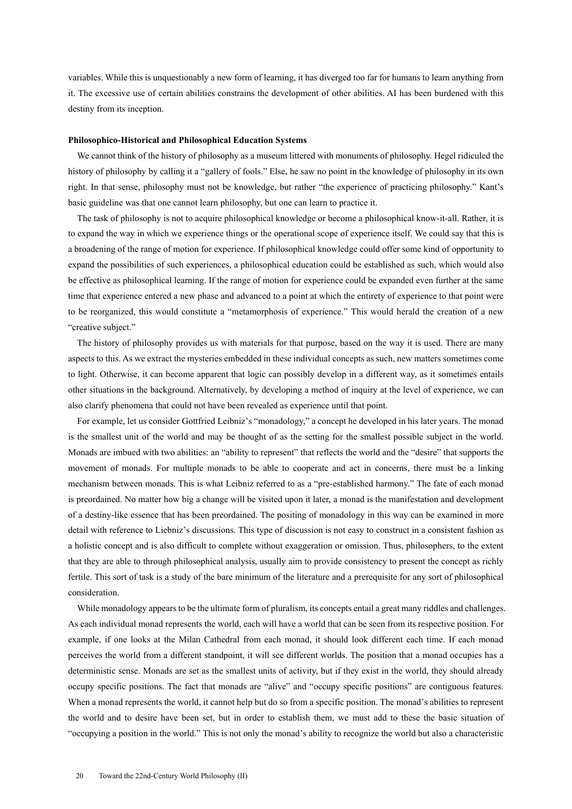variables. While this is unquestionably a new form of learning, it has diverged too far for humans to learn anything from it. The excessive use of certain abilities constrains the development of other abilities. AI has been burdened with this destiny from its inception.

#### **Philosophico-Historical and Philosophical Education Systems**

We cannot think of the history of philosophy as a museum littered with monuments of philosophy. Hegel ridiculed the history of philosophy by calling it a "gallery of fools." Else, he saw no point in the knowledge of philosophy in its own right. In that sense, philosophy must not be knowledge, but rather "the experience of practicing philosophy." Kant's basic guideline was that one cannot learn philosophy, but one can learn to practice it.

The task of philosophy is not to acquire philosophical knowledge or become a philosophical know-it-all. Rather, it is to expand the way in which we experience things or the operational scope of experience itself. We could say that this is a broadening of the range of motion for experience. If philosophical knowledge could offer some kind of opportunity to expand the possibilities of such experiences, a philosophical education could be established as such, which would also be effective as philosophical learning. If the range of motion for experience could be expanded even further at the same time that experience entered a new phase and advanced to a point at which the entirety of experience to that point were to be reorganized, this would constitute a "metamorphosis of experience." This would herald the creation of a new "creative subject."

The history of philosophy provides us with materials for that purpose, based on the way it is used. There are many aspects to this. As we extract the mysteries embedded in these individual concepts as such, new matters sometimes come to light. Otherwise, it can become apparent that logic can possibly develop in a different way, as it sometimes entails other situations in the background. Alternatively, by developing a method of inquiry at the level of experience, we can also clarify phenomena that could not have been revealed as experience until that point.

For example, let us consider Gottfried Leibniz's "monadology," a concept he developed in his later years. The monad is the smallest unit of the world and may be thought of as the setting for the smallest possible subject in the world. Monads are imbued with two abilities: an "ability to represent" that reflects the world and the "desire" that supports the movement of monads. For multiple monads to be able to cooperate and act in concerns, there must be a linking mechanism between monads. This is what Leibniz referred to as a "pre-established harmony." The fate of each monad is preordained. No matter how big a change will be visited upon it later, a monad is the manifestation and development of a destiny-like essence that has been preordained. The positing of monadology in this way can be examined in more detail with reference to Liebniz's discussions. This type of discussion is not easy to construct in a consistent fashion as a holistic concept and is also difficult to complete without exaggeration or omission. Thus, philosophers, to the extent that they are able to through philosophical analysis, usually aim to provide consistency to present the concept as richly fertile. This sort of task is a study of the bare minimum of the literature and a prerequisite for any sort of philosophical consideration.

While monadology appears to be the ultimate form of pluralism, its concepts entail a great many riddles and challenges. As each individual monad represents the world, each will have a world that can be seen from its respective position. For example, if one looks at the Milan Cathedral from each monad, it should look different each time. If each monad perceives the world from a different standpoint, it will see different worlds. The position that a monad occupies has a deterministic sense. Monads are set as the smallest units of activity, but if they exist in the world, they should already occupy specific positions. The fact that monads are "alive" and "occupy specific positions" are contiguous features. When a monad represents the world, it cannot help but do so from a specific position. The monad's abilities to represent the world and to desire have been set, but in order to establish them, we must add to these the basic situation of "occupying a position in the world." This is not only the monad's ability to recognize the world but also a characteristic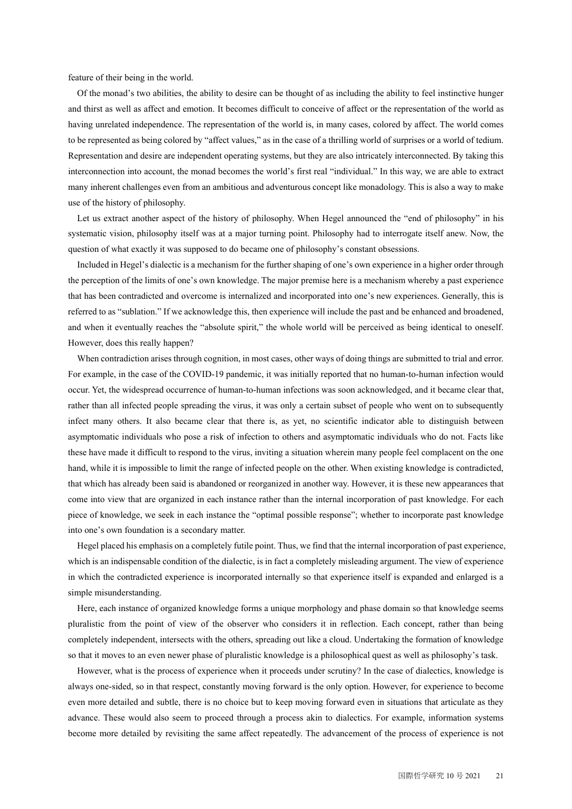feature of their being in the world.

Of the monad's two abilities, the ability to desire can be thought of as including the ability to feel instinctive hunger and thirst as well as affect and emotion. It becomes difficult to conceive of affect or the representation of the world as having unrelated independence. The representation of the world is, in many cases, colored by affect. The world comes to be represented as being colored by "affect values," as in the case of a thrilling world of surprises or a world of tedium. Representation and desire are independent operating systems, but they are also intricately interconnected. By taking this interconnection into account, the monad becomes the world's first real "individual." In this way, we are able to extract many inherent challenges even from an ambitious and adventurous concept like monadology. This is also a way to make use of the history of philosophy.

Let us extract another aspect of the history of philosophy. When Hegel announced the "end of philosophy" in his systematic vision, philosophy itself was at a major turning point. Philosophy had to interrogate itself anew. Now, the question of what exactly it was supposed to do became one of philosophy's constant obsessions.

Included in Hegel's dialectic is a mechanism for the further shaping of one's own experience in a higher order through the perception of the limits of one's own knowledge. The major premise here is a mechanism whereby a past experience that has been contradicted and overcome is internalized and incorporated into one's new experiences. Generally, this is referred to as "sublation." If we acknowledge this, then experience will include the past and be enhanced and broadened, and when it eventually reaches the "absolute spirit," the whole world will be perceived as being identical to oneself. However, does this really happen?

When contradiction arises through cognition, in most cases, other ways of doing things are submitted to trial and error. For example, in the case of the COVID-19 pandemic, it was initially reported that no human-to-human infection would occur. Yet, the widespread occurrence of human-to-human infections was soon acknowledged, and it became clear that, rather than all infected people spreading the virus, it was only a certain subset of people who went on to subsequently infect many others. It also became clear that there is, as yet, no scientific indicator able to distinguish between asymptomatic individuals who pose a risk of infection to others and asymptomatic individuals who do not. Facts like these have made it difficult to respond to the virus, inviting a situation wherein many people feel complacent on the one hand, while it is impossible to limit the range of infected people on the other. When existing knowledge is contradicted, that which has already been said is abandoned or reorganized in another way. However, it is these new appearances that come into view that are organized in each instance rather than the internal incorporation of past knowledge. For each piece of knowledge, we seek in each instance the "optimal possible response"; whether to incorporate past knowledge into one's own foundation is a secondary matter.

Hegel placed his emphasis on a completely futile point. Thus, we find that the internal incorporation of past experience, which is an indispensable condition of the dialectic, is in fact a completely misleading argument. The view of experience in which the contradicted experience is incorporated internally so that experience itself is expanded and enlarged is a simple misunderstanding.

Here, each instance of organized knowledge forms a unique morphology and phase domain so that knowledge seems pluralistic from the point of view of the observer who considers it in reflection. Each concept, rather than being completely independent, intersects with the others, spreading out like a cloud. Undertaking the formation of knowledge so that it moves to an even newer phase of pluralistic knowledge is a philosophical quest as well as philosophy's task.

However, what is the process of experience when it proceeds under scrutiny? In the case of dialectics, knowledge is always one-sided, so in that respect, constantly moving forward is the only option. However, for experience to become even more detailed and subtle, there is no choice but to keep moving forward even in situations that articulate as they advance. These would also seem to proceed through a process akin to dialectics. For example, information systems become more detailed by revisiting the same affect repeatedly. The advancement of the process of experience is not